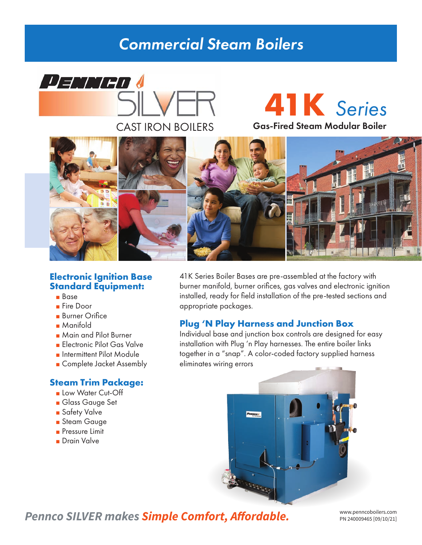## *Commercial Steam Boilers*

# **DEMIED** CAST IRON BOILERS **Gas-Fired Steam Modular Boiler**

**41K** *Series*



#### **Electronic Ignition Base Standard Equipment:**

- Base
- Fire Door
- Burner Orifice
- Manifold
- Main and Pilot Burner
- Electronic Pilot Gas Valve
- Intermittent Pilot Module
- Complete Jacket Assembly

#### **Steam Trim Package:**

- Low Water Cut-Off
- Glass Gauge Set
- Safety Valve
- Steam Gauge
- Pressure Limit
- Drain Valve

41K Series Boiler Bases are pre-assembled at the factory with burner manifold, burner orifices, gas valves and electronic ignition installed, ready for field installation of the pre-tested sections and appropriate packages.

### **Plug 'N Play Harness and Junction Box**

Individual base and junction box controls are designed for easy installation with Plug 'n Play harnesses. The entire boiler links together in a "snap". A color-coded factory supplied harness eliminates wiring errors



**Pennco SILVER makes Simple Comfort, Affordable.** WWW.penncoboilers.com